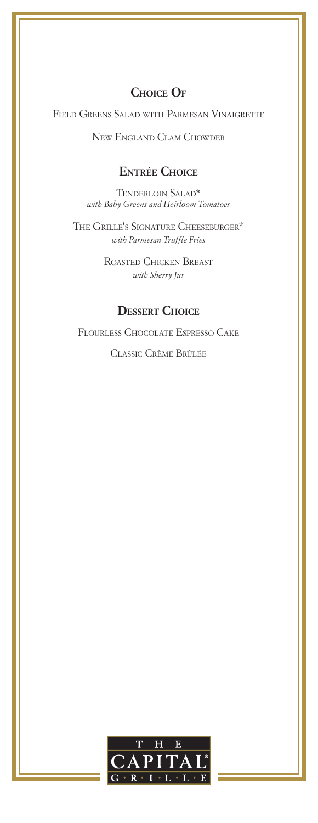# **Choice Of**

Field Greens Salad with Parmesan Vinaigrette

New England Clam Chowder

## **Entrée Choice**

Tenderloin Salad\* *with Baby Greens and Heirloom Tomatoes*

The Grille's Signature Cheeseburger\* *with Parmesan Truffle Fries*

> Roasted Chicken Breast *with Sherry Jus*

# **Dessert Choice**

Flourless Chocolate Espresso Cake

Classic Crème Brûlée

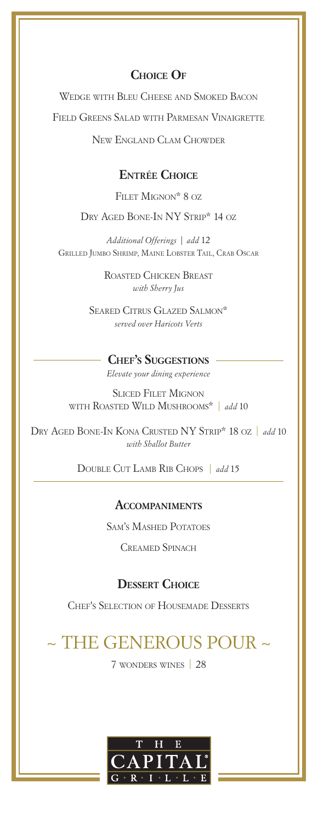# **Choice Of**

Wedge with Bleu Cheese and Smoked Bacon Field Greens Salad with Parmesan Vinaigrette

New England Clam Chowder

### **Entrée Choice**

Filet Mignon\* 8 oz

DRY AGED BONE-IN NY STRIP\* 14 OZ

*Additional Offerings | add* 12 Grilled Jumbo Shrimp, Maine Lobster Tail, Crab Oscar

> Roasted Chicken Breast *with Sherry Jus*

Seared Citrus Glazed Salmon\* *served over Haricots Verts*

#### **Chef's Suggestions** *Elevate your dining experience*

Sliced Filet Mignon with Roasted Wild Mushrooms\* | *add* 10

Dry Aged Bone-In Kona Crusted NY Strip\* 18 oz | *add* 10 *with Shallot Butter*

Double Cut Lamb Rib Chops | *add* <sup>15</sup>

### **Accompaniments**

Sam's Mashed Potatoes

Creamed Spinach

#### **Dessert Choice**

Chef's Selection of Housemade Desserts

# ~ THE GENEROUS POUR ~

7 wonders wines | 28